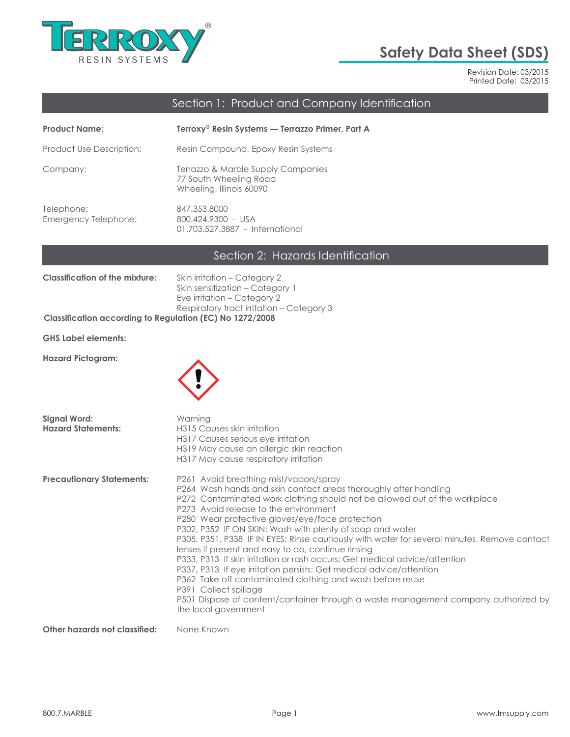

# **Safety Data Sheet (SDS)**

Revision Date: 03/2015 Printed Date: 03/2015

# Section 1: Product and Company Identification

| <b>Product Name:</b>               | Terroxy® Resin Systems — Terrazzo Primer, Part A                                         |
|------------------------------------|------------------------------------------------------------------------------------------|
| Product Use Description:           | Resin Compound, Epoxy Resin Systems                                                      |
| Company:                           | Terrazzo & Marble Supply Companies<br>77 South Wheeling Road<br>Wheeling, Illinois 60090 |
| Telephone:<br>Emergency Telephone: | 847.353.8000<br>800.424.9300 - USA<br>01.703.527.3887 - International                    |

### Section 2: Hazards Identification

| <b>Classification of the mixture:</b>                    | Skin irritation – Category 2              |
|----------------------------------------------------------|-------------------------------------------|
|                                                          | Skin sensitization – Category 1           |
|                                                          | Eye irritation – Category 2               |
|                                                          | Respiratory tract irritation – Category 3 |
| Classification according to Regulation (EC) No 1272/2008 |                                           |

**GHS Label elements:**

**Hazard Pictogram:**



| Signal Word:<br><b>Hazard Statements:</b> | Warning<br>H315 Causes skin irritation<br>H317 Causes serious eye irritation<br>H319 May cause an allergic skin reaction<br>H317 May cause respiratory irritation                                                                                                                                                                                                                                                                                                                                                                                                                                                                                                                                                                                                                                                                                                |
|-------------------------------------------|------------------------------------------------------------------------------------------------------------------------------------------------------------------------------------------------------------------------------------------------------------------------------------------------------------------------------------------------------------------------------------------------------------------------------------------------------------------------------------------------------------------------------------------------------------------------------------------------------------------------------------------------------------------------------------------------------------------------------------------------------------------------------------------------------------------------------------------------------------------|
| <b>Precautionary Statements:</b>          | P261 Avoid breathing mist/vapors/spray<br>P264 Wash hands and skin contact areas thoroughly after handling<br>P272 Contaminated work clothing should not be allowed out of the workplace<br>P273 Avoid release to the environment<br>P280 Wear protective gloves/eye/face protection<br>P302, P352 IF ON SKIN: Wash with plenty of soap and water<br>P305, P351, P338 IF IN EYES: Rinse cautiously with water for several minutes. Remove contact<br>lenses if present and easy to do, continue rinsing<br>P333, P313 If skin irritation or rash occurs: Get medical advice/attention<br>P337, P313 If eye irritation persists: Get medical advice/attention<br>P362 Take off contaminated clothing and wash before reuse<br>P391 Collect spillage<br>P501 Dispose of content/container through a waste management company authorized by<br>the local government |
| Other hararde net elassified: None Vnoun  |                                                                                                                                                                                                                                                                                                                                                                                                                                                                                                                                                                                                                                                                                                                                                                                                                                                                  |

**Other hazards not classified:** None Known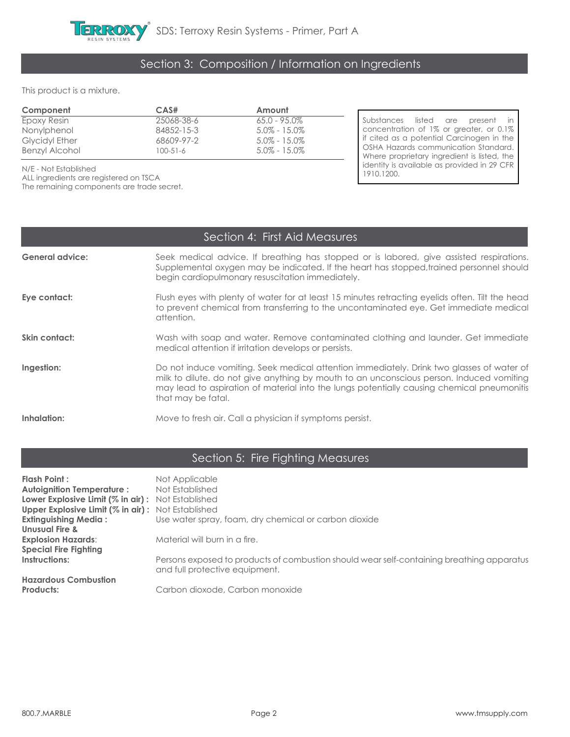

## Section 3: Composition / Information on Ingredients

This product is a mixture.

| Component             | CAS#       | Amount           |                                             |
|-----------------------|------------|------------------|---------------------------------------------|
| Epoxy Resin           | 25068-38-6 | $65.0 - 95.0\%$  | Substances listed are present in            |
| Nonylphenol           | 84852-15-3 | $5.0\% - 15.0\%$ | concentration of 1% or greater, or 0.1%     |
| <b>Glycidyl Ether</b> | 68609-97-2 | $5.0\% - 15.0\%$ | If cited as a potential Carcinogen in the   |
| Benzyl Alcohol        | 100-51-6   | $5.0\% - 15.0\%$ | <b>OSHA Hazards communication Standard.</b> |
|                       |            |                  | Where proprietary ingredient is listed, the |

N/E - Not Established

ALL ingredients are registered on TSCA

The remaining components are trade secret.

n of 1% or greater, or 0.1% potential Carcinogen in the Is communication Standard. etary ingredient is listed, the identity is available as provided in 29 CFR 1910.1200.

### Section 4: First Aid Measures

| <b>General advice:</b> | Seek medical advice. If breathing has stopped or is labored, give assisted respirations.<br>Supplemental oxygen may be indicated. If the heart has stopped, trained personnel should<br>begin cardiopulmonary resuscitation immediately.                                                                  |
|------------------------|-----------------------------------------------------------------------------------------------------------------------------------------------------------------------------------------------------------------------------------------------------------------------------------------------------------|
| Eye contact:           | Flush eyes with plenty of water for at least 15 minutes retracting eyelids often. Tilt the head<br>to prevent chemical from transferring to the uncontaminated eye. Get immediate medical<br>attention.                                                                                                   |
| Skin contact:          | Wash with soap and water. Remove contaminated clothing and launder. Get immediate<br>medical attention if irritation develops or persists.                                                                                                                                                                |
| Ingestion:             | Do not induce vomiting. Seek medical attention immediately. Drink two glasses of water of<br>milk to dilute, do not give anything by mouth to an unconscious person, Induced vomiting<br>may lead to aspiration of material into the lungs potentially causing chemical pneumonitis<br>that may be fatal. |
| Inhalation:            | Move to fresh air. Call a physician if symptoms persist.                                                                                                                                                                                                                                                  |

### Section 5: Fire Fighting Measures

| Flash Point :                                            | Not Applicable                                                                                                              |
|----------------------------------------------------------|-----------------------------------------------------------------------------------------------------------------------------|
| <b>Autoignition Temperature:</b>                         | Not Established                                                                                                             |
| <b>Lower Explosive Limit (% in air):</b> Not Established |                                                                                                                             |
| <b>Upper Explosive Limit (% in air):</b> Not Established |                                                                                                                             |
| <b>Extinguishing Media:</b>                              | Use water spray, foam, dry chemical or carbon dioxide                                                                       |
| <b>Unusual Fire &amp;</b>                                |                                                                                                                             |
| <b>Explosion Hazards:</b>                                | Material will burn in a fire.                                                                                               |
| <b>Special Fire Fighting</b>                             |                                                                                                                             |
| Instructions:                                            | Persons exposed to products of combustion should wear self-containing breathing apparatus<br>and full protective equipment. |
| <b>Hazardous Combustion</b>                              |                                                                                                                             |
| Products:                                                | Carbon dioxode, Carbon monoxide                                                                                             |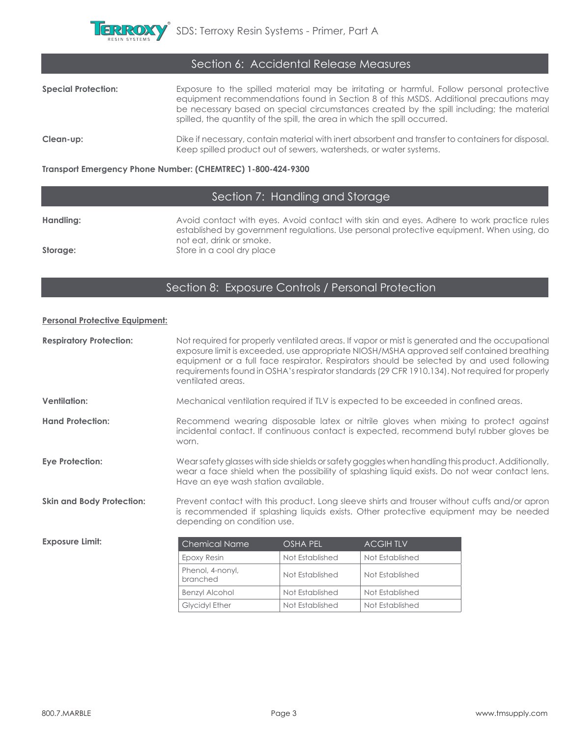

| Section 6: Accidental Release Measures |                                                                                                                                                                                                                                                                                                                                                             |  |
|----------------------------------------|-------------------------------------------------------------------------------------------------------------------------------------------------------------------------------------------------------------------------------------------------------------------------------------------------------------------------------------------------------------|--|
| <b>Special Protection:</b>             | Exposure to the spilled material may be irritating or harmful. Follow personal protective<br>equipment recommendations found in Section 8 of this MSDS. Additional precautions may<br>be necessary based on special circumstances created by the spill including; the material<br>spilled, the quantity of the spill, the area in which the spill occurred. |  |
| Clean-up:                              | Dike if necessary, contain material with inert absorbent and transfer to containers for disposal.<br>Keep spilled product out of sewers, watersheds, or water systems.                                                                                                                                                                                      |  |

**Transport Emergency Phone Number: (CHEMTREC) 1-800-424-9300**

# Section 7: Handling and Storage

Handling: **Handling:** Avoid contact with eyes. Avoid contact with skin and eyes. Adhere to work practice rules established by government regulations. Use personal protective equipment. When using, do not eat, drink or smoke. **Storage: Store** in a cool dry place

#### Section 8: Exposure Controls / Personal Protection

#### **Personal Protective Equipment:**

| <b>Respiratory Protection:</b>   | Not required for properly ventilated areas. If vapor or mist is generated and the occupational<br>exposure limit is exceeded, use appropriate NIOSH/MSHA approved self contained breathing<br>equipment or a full face respirator. Respirators should be selected by and used following<br>requirements found in OSHA's respirator standards (29 CFR 1910.134). Not required for properly<br>ventilated areas. |                                                                                                                                                                                |                                                                                      |  |
|----------------------------------|----------------------------------------------------------------------------------------------------------------------------------------------------------------------------------------------------------------------------------------------------------------------------------------------------------------------------------------------------------------------------------------------------------------|--------------------------------------------------------------------------------------------------------------------------------------------------------------------------------|--------------------------------------------------------------------------------------|--|
| <b>Ventilation:</b>              |                                                                                                                                                                                                                                                                                                                                                                                                                |                                                                                                                                                                                | Mechanical ventilation required if TLV is expected to be exceeded in confined areas. |  |
| <b>Hand Protection:</b>          | worn.                                                                                                                                                                                                                                                                                                                                                                                                          | Recommend wearing disposable latex or nitrile gloves when mixing to protect against<br>incidental contact. If continuous contact is expected, recommend butyl rubber gloves be |                                                                                      |  |
| <b>Eye Protection:</b>           | Wearsafety glasses with side shields or safety goggles when handling this product. Additionally,<br>wear a face shield when the possibility of splashing liquid exists. Do not wear contact lens.<br>Have an eye wash station available.                                                                                                                                                                       |                                                                                                                                                                                |                                                                                      |  |
| <b>Skin and Body Protection:</b> | Prevent contact with this product. Long sleeve shirts and trouser without cuffs and/or apron<br>is recommended if splashing liquids exists. Other protective equipment may be needed<br>depending on condition use.                                                                                                                                                                                            |                                                                                                                                                                                |                                                                                      |  |
| <b>Exposure Limit:</b>           | Chemical Name                                                                                                                                                                                                                                                                                                                                                                                                  | <b>OSHA PEL</b>                                                                                                                                                                | <b>ACGIHTLV</b>                                                                      |  |
|                                  | Epoxy Resin                                                                                                                                                                                                                                                                                                                                                                                                    | Not Established                                                                                                                                                                | Not Established                                                                      |  |
|                                  | Phenol, 4-nonyl,<br>branched                                                                                                                                                                                                                                                                                                                                                                                   | Not Established                                                                                                                                                                | Not Established                                                                      |  |
|                                  | <b>Benzyl Alcohol</b>                                                                                                                                                                                                                                                                                                                                                                                          | Not Established                                                                                                                                                                | Not Established                                                                      |  |
|                                  | <b>Glycidyl Ether</b>                                                                                                                                                                                                                                                                                                                                                                                          | Not Established                                                                                                                                                                | Not Established                                                                      |  |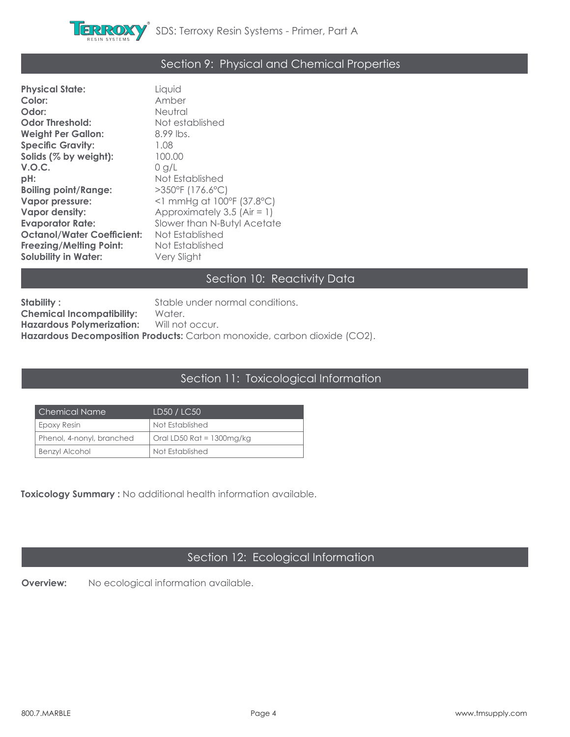

## Section 9: Physical and Chemical Properties

| <b>Physical State:</b>            | Liquid                          |
|-----------------------------------|---------------------------------|
| Color:                            | Amber                           |
| Odor:                             | <b>Neutral</b>                  |
| <b>Odor Threshold:</b>            | Not established                 |
| <b>Weight Per Gallon:</b>         | 8.99 lbs.                       |
| <b>Specific Gravity:</b>          | 1.08                            |
| Solids (% by weight):             | 100.00                          |
| V.O.C.                            | 0 g/L                           |
| $pH$ :                            | Not Established                 |
| <b>Boiling point/Range:</b>       | $>350^{\circ}$ F (176.6°C)      |
| Vapor pressure:                   | $\leq$ 1 mmHg at 100°F (37.8°C) |
| <b>Vapor density:</b>             | Approximately 3.5 (Air = 1)     |
| <b>Evaporator Rate:</b>           | Slower than N-Butyl Acetate     |
| <b>Octanol/Water Coefficient:</b> | Not Established                 |
| <b>Freezing/Melting Point:</b>    | Not Established                 |
| <b>Solubility in Water:</b>       | Very Slight                     |

### Section 10: Reactivity Data

**Stability :** Stable under normal conditions.<br> **Chemical Incompatibility:** Water. **Chemical Incompatibility: Hazardous Polymerization:** Will not occur. Hazardous Decomposition Products: Carbon monoxide, carbon dioxide (CO2).

#### Section 11: Toxicological Information

| Chemical Name             | LD50 / LC50                  |
|---------------------------|------------------------------|
| Epoxy Resin               | Not Established              |
| Phenol, 4-nonyl, branched | Oral LD50 Rat = $1300$ mg/kg |
| <b>Benzyl Alcohol</b>     | Not Established              |

**Toxicology Summary :** No additional health information available.

### Section 12: Ecological Information

**Overview:** No ecological information available.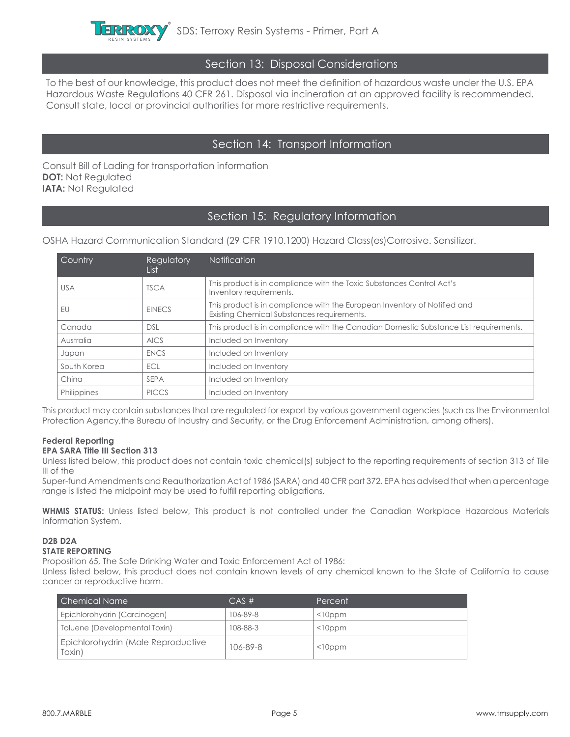

#### Section 13: Disposal Considerations

To the best of our knowledge, this product does not meet the definition of hazardous waste under the U.S. EPA Hazardous Waste Regulations 40 CFR 261. Disposal via incineration at an approved facility is recommended. Consult state, local or provincial authorities for more restrictive requirements.

#### Section 14: Transport Information

Consult Bill of Lading for transportation information **DOT: Not Regulated IATA: Not Regulated** 

#### Section 15: Regulatory Information

OSHA Hazard Communication Standard (29 CFR 1910.1200) Hazard Class(es)Corrosive. Sensitizer.

| Country     | Regulatory<br>List | <b>Notification</b>                                                                                                     |
|-------------|--------------------|-------------------------------------------------------------------------------------------------------------------------|
| usa         | <b>TSCA</b>        | This product is in compliance with the Toxic Substances Control Act's<br>Inventory requirements.                        |
| EU          | <b>EINECS</b>      | This product is in compliance with the European Inventory of Notified and<br>Existing Chemical Substances requirements. |
| Canada      | <b>DSL</b>         | This product is in compliance with the Canadian Domestic Substance List requirements.                                   |
| Australia   | <b>AICS</b>        | Included on Inventory                                                                                                   |
| Japan       | <b>ENCS</b>        | Included on Inventory                                                                                                   |
| South Korea | ECL                | Included on Inventory                                                                                                   |
| China       | <b>SEPA</b>        | Included on Inventory                                                                                                   |
| Philippines | <b>PICCS</b>       | Included on Inventory                                                                                                   |

This product may contain substances that are regulated for export by various government agencies (such as the Environmental Protection Agency,the Bureau of Industry and Security, or the Drug Enforcement Administration, among others).

#### **Federal Reporting EPA SARA Title III Section 313**

Unless listed below, this product does not contain toxic chemical(s) subject to the reporting requirements of section 313 of Tile III of the

Super-fund Amendments and Reauthorization Act of 1986 (SARA) and 40 CFR part 372. EPA has advised that when a percentage range is listed the midpoint may be used to fulfill reporting obligations.

**WHMIS STATUS:** Unless listed below, This product is not controlled under the Canadian Workplace Hazardous Materials Information System.

#### **D2B D2A STATE REPORTING**

Proposition 65, The Safe Drinking Water and Toxic Enforcement Act of 1986:

Unless listed below, this product does not contain known levels of any chemical known to the State of California to cause cancer or reproductive harm.

| Chemical Name                                | CAS#     | Percent       |
|----------------------------------------------|----------|---------------|
| Epichlorohydrin (Carcinogen)                 | 106-89-8 | $<$ l $0$ ppm |
| Toluene (Developmental Toxin)                | 108-88-3 | $<$ l $0$ ppm |
| Epichlorohydrin (Male Reproductive<br>[oxin] | 106-89-8 | $<$ l $0$ ppm |